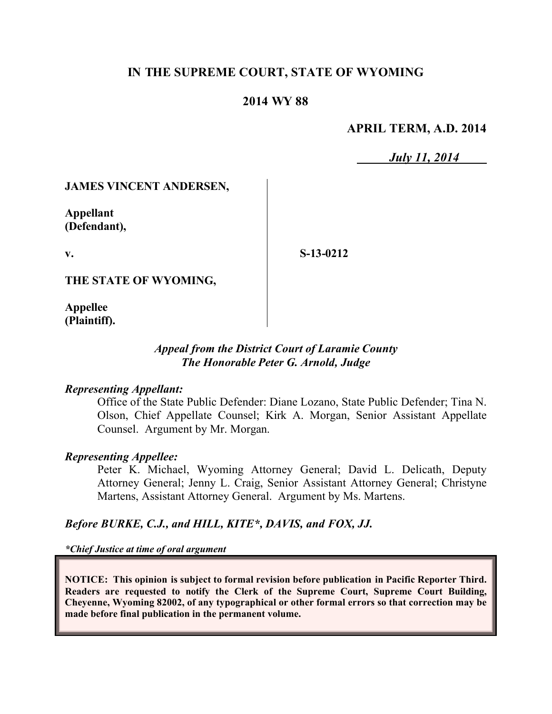## **IN THE SUPREME COURT, STATE OF WYOMING**

## **2014 WY 88**

### **APRIL TERM, A.D. 2014**

*July 11, 2014*

#### **JAMES VINCENT ANDERSEN,**

**Appellant (Defendant),**

**v.**

**S-13-0212**

**THE STATE OF WYOMING,**

**Appellee (Plaintiff).**

#### *Appeal from the District Court of Laramie County The Honorable Peter G. Arnold, Judge*

#### *Representing Appellant:*

Office of the State Public Defender: Diane Lozano, State Public Defender; Tina N. Olson, Chief Appellate Counsel; Kirk A. Morgan, Senior Assistant Appellate Counsel. Argument by Mr. Morgan.

#### *Representing Appellee:*

Peter K. Michael, Wyoming Attorney General; David L. Delicath, Deputy Attorney General; Jenny L. Craig, Senior Assistant Attorney General; Christyne Martens, Assistant Attorney General. Argument by Ms. Martens.

#### *Before BURKE, C.J., and HILL, KITE\*, DAVIS, and FOX, JJ.*

*\*Chief Justice at time of oral argument*

**NOTICE: This opinion is subject to formal revision before publication in Pacific Reporter Third. Readers are requested to notify the Clerk of the Supreme Court, Supreme Court Building, Cheyenne, Wyoming 82002, of any typographical or other formal errors so that correction may be made before final publication in the permanent volume.**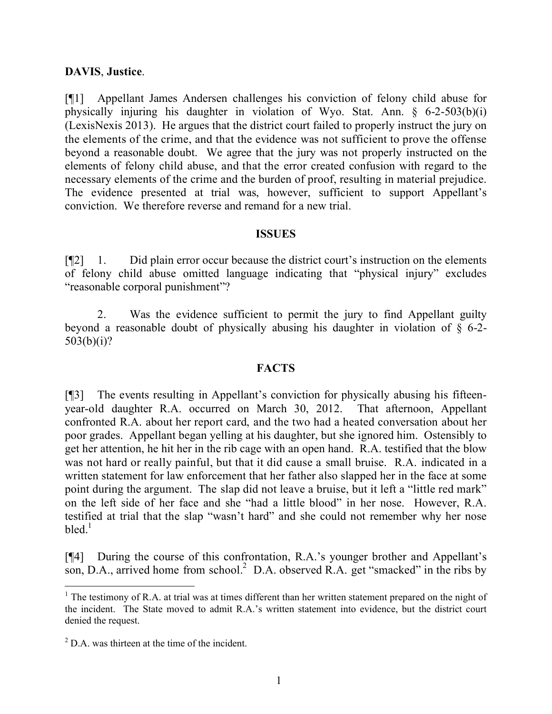### **DAVIS**, **Justice**.

[¶1] Appellant James Andersen challenges his conviction of felony child abuse for physically injuring his daughter in violation of Wyo. Stat. Ann. § 6-2-503(b)(i) (LexisNexis 2013). He argues that the district court failed to properly instruct the jury on the elements of the crime, and that the evidence was not sufficient to prove the offense beyond a reasonable doubt. We agree that the jury was not properly instructed on the elements of felony child abuse, and that the error created confusion with regard to the necessary elements of the crime and the burden of proof, resulting in material prejudice. The evidence presented at trial was, however, sufficient to support Appellant's conviction. We therefore reverse and remand for a new trial.

#### **ISSUES**

[¶2] 1. Did plain error occur because the district court's instruction on the elements of felony child abuse omitted language indicating that "physical injury" excludes "reasonable corporal punishment"?

2. Was the evidence sufficient to permit the jury to find Appellant guilty beyond a reasonable doubt of physically abusing his daughter in violation of § 6-2- 503(b)(i)?

## **FACTS**

[¶3] The events resulting in Appellant's conviction for physically abusing his fifteenyear-old daughter R.A. occurred on March 30, 2012. That afternoon, Appellant confronted R.A. about her report card, and the two had a heated conversation about her poor grades. Appellant began yelling at his daughter, but she ignored him. Ostensibly to get her attention, he hit her in the rib cage with an open hand. R.A. testified that the blow was not hard or really painful, but that it did cause a small bruise. R.A. indicated in a written statement for law enforcement that her father also slapped her in the face at some point during the argument. The slap did not leave a bruise, but it left a "little red mark" on the left side of her face and she "had a little blood" in her nose. However, R.A. testified at trial that the slap "wasn't hard" and she could not remember why her nose bled. $^1$ 

[¶4] During the course of this confrontation, R.A.'s younger brother and Appellant's son, D.A., arrived home from school.<sup>2</sup> D.A. observed R.A. get "smacked" in the ribs by

 $<sup>1</sup>$  The testimony of R.A. at trial was at times different than her written statement prepared on the night of</sup> the incident. The State moved to admit R.A.'s written statement into evidence, but the district court denied the request.

 $^{2}$  D.A. was thirteen at the time of the incident.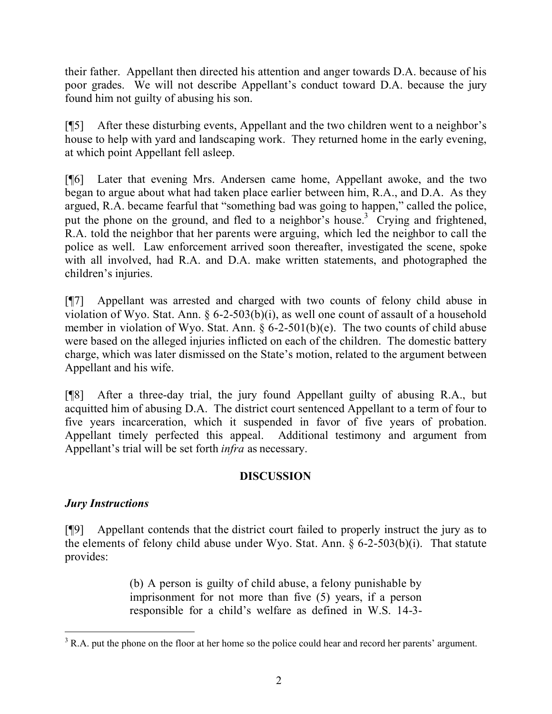their father. Appellant then directed his attention and anger towards D.A. because of his poor grades. We will not describe Appellant's conduct toward D.A. because the jury found him not guilty of abusing his son.

[¶5] After these disturbing events, Appellant and the two children went to a neighbor's house to help with yard and landscaping work. They returned home in the early evening, at which point Appellant fell asleep.

[¶6] Later that evening Mrs. Andersen came home, Appellant awoke, and the two began to argue about what had taken place earlier between him, R.A., and D.A. As they argued, R.A. became fearful that "something bad was going to happen," called the police, put the phone on the ground, and fled to a neighbor's house.<sup>3</sup> Crying and frightened, R.A. told the neighbor that her parents were arguing, which led the neighbor to call the police as well. Law enforcement arrived soon thereafter, investigated the scene, spoke with all involved, had R.A. and D.A. make written statements, and photographed the children's injuries.

[¶7] Appellant was arrested and charged with two counts of felony child abuse in violation of Wyo. Stat. Ann. § 6-2-503(b)(i), as well one count of assault of a household member in violation of Wyo. Stat. Ann.  $\frac{6}{5}$  6-2-501(b)(e). The two counts of child abuse were based on the alleged injuries inflicted on each of the children. The domestic battery charge, which was later dismissed on the State's motion, related to the argument between Appellant and his wife.

[¶8] After a three-day trial, the jury found Appellant guilty of abusing R.A., but acquitted him of abusing D.A. The district court sentenced Appellant to a term of four to five years incarceration, which it suspended in favor of five years of probation. Appellant timely perfected this appeal. Additional testimony and argument from Appellant's trial will be set forth *infra* as necessary.

## **DISCUSSION**

# *Jury Instructions*

[¶9] Appellant contends that the district court failed to properly instruct the jury as to the elements of felony child abuse under Wyo. Stat. Ann. § 6-2-503(b)(i). That statute provides:

> (b) A person is guilty of child abuse, a felony punishable by imprisonment for not more than five (5) years, if a person responsible for a child's welfare as defined in W.S. 14-3-

 $\overline{a}$  $3 R.A.$  put the phone on the floor at her home so the police could hear and record her parents' argument.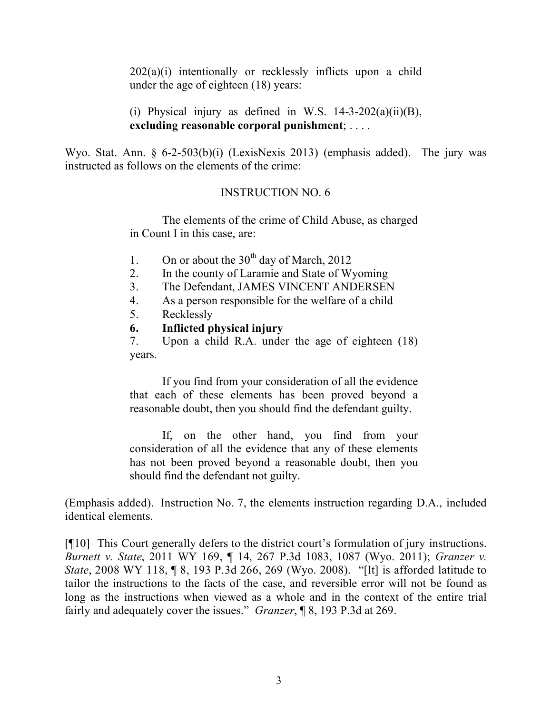202(a)(i) intentionally or recklessly inflicts upon a child under the age of eighteen (18) years:

(i) Physical injury as defined in W.S.  $14-3-202(a)(ii)(B)$ , **excluding reasonable corporal punishment**; . . . .

Wyo. Stat. Ann. § 6-2-503(b)(i) (LexisNexis 2013) (emphasis added). The jury was instructed as follows on the elements of the crime:

## INSTRUCTION NO. 6

The elements of the crime of Child Abuse, as charged in Count I in this case, are:

- 1. On or about the  $30<sup>th</sup>$  day of March, 2012
- 2. In the county of Laramie and State of Wyoming
- 3. The Defendant, JAMES VINCENT ANDERSEN
- 4. As a person responsible for the welfare of a child
- 5. Recklessly
- **6. Inflicted physical injury**

7. Upon a child R.A. under the age of eighteen (18) years.

If you find from your consideration of all the evidence that each of these elements has been proved beyond a reasonable doubt, then you should find the defendant guilty.

If, on the other hand, you find from your consideration of all the evidence that any of these elements has not been proved beyond a reasonable doubt, then you should find the defendant not guilty.

(Emphasis added). Instruction No. 7, the elements instruction regarding D.A., included identical elements.

[¶10] This Court generally defers to the district court's formulation of jury instructions. *Burnett v. State*, 2011 WY 169, ¶ 14, 267 P.3d 1083, 1087 (Wyo. 2011); *Granzer v. State*, 2008 WY 118, ¶ 8, 193 P.3d 266, 269 (Wyo. 2008). "[It] is afforded latitude to tailor the instructions to the facts of the case, and reversible error will not be found as long as the instructions when viewed as a whole and in the context of the entire trial fairly and adequately cover the issues." *Granzer*, ¶ 8, 193 P.3d at 269.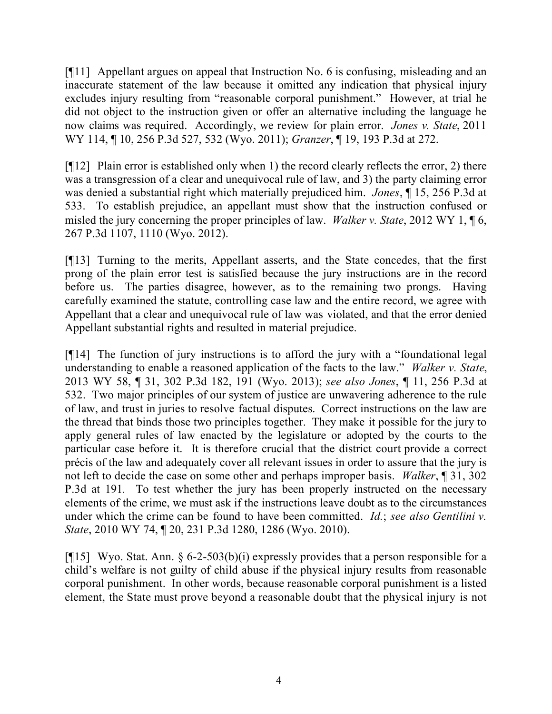[¶11] Appellant argues on appeal that Instruction No. 6 is confusing, misleading and an inaccurate statement of the law because it omitted any indication that physical injury excludes injury resulting from "reasonable corporal punishment." However, at trial he did not object to the instruction given or offer an alternative including the language he now claims was required. Accordingly, we review for plain error. *Jones v. State*, 2011 WY 114, ¶ 10, 256 P.3d 527, 532 (Wyo. 2011); *Granzer*, ¶ 19, 193 P.3d at 272.

[¶12] Plain error is established only when 1) the record clearly reflects the error, 2) there was a transgression of a clear and unequivocal rule of law, and 3) the party claiming error was denied a substantial right which materially prejudiced him. *Jones*, ¶ 15, 256 P.3d at 533. To establish prejudice, an appellant must show that the instruction confused or misled the jury concerning the proper principles of law. *Walker v. State*, 2012 WY 1, ¶ 6, 267 P.3d 1107, 1110 (Wyo. 2012).

[¶13] Turning to the merits, Appellant asserts, and the State concedes, that the first prong of the plain error test is satisfied because the jury instructions are in the record before us. The parties disagree, however, as to the remaining two prongs. Having carefully examined the statute, controlling case law and the entire record, we agree with Appellant that a clear and unequivocal rule of law was violated, and that the error denied Appellant substantial rights and resulted in material prejudice.

[¶14] The function of jury instructions is to afford the jury with a "foundational legal understanding to enable a reasoned application of the facts to the law." *Walker v. State*, 2013 WY 58, ¶ 31, 302 P.3d 182, 191 (Wyo. 2013); *see also Jones*, ¶ 11, 256 P.3d at 532. Two major principles of our system of justice are unwavering adherence to the rule of law, and trust in juries to resolve factual disputes. Correct instructions on the law are the thread that binds those two principles together. They make it possible for the jury to apply general rules of law enacted by the legislature or adopted by the courts to the particular case before it. It is therefore crucial that the district court provide a correct précis of the law and adequately cover all relevant issues in order to assure that the jury is not left to decide the case on some other and perhaps improper basis. *Walker*, ¶ 31, 302 P.3d at 191*.* To test whether the jury has been properly instructed on the necessary elements of the crime, we must ask if the instructions leave doubt as to the circumstances under which the crime can be found to have been committed. *Id.*; *see also Gentilini v. State*, 2010 WY 74, ¶ 20, 231 P.3d 1280, 1286 (Wyo. 2010).

[ $[15]$  Wyo. Stat. Ann. § 6-2-503(b)(i) expressly provides that a person responsible for a child's welfare is not guilty of child abuse if the physical injury results from reasonable corporal punishment. In other words, because reasonable corporal punishment is a listed element, the State must prove beyond a reasonable doubt that the physical injury is not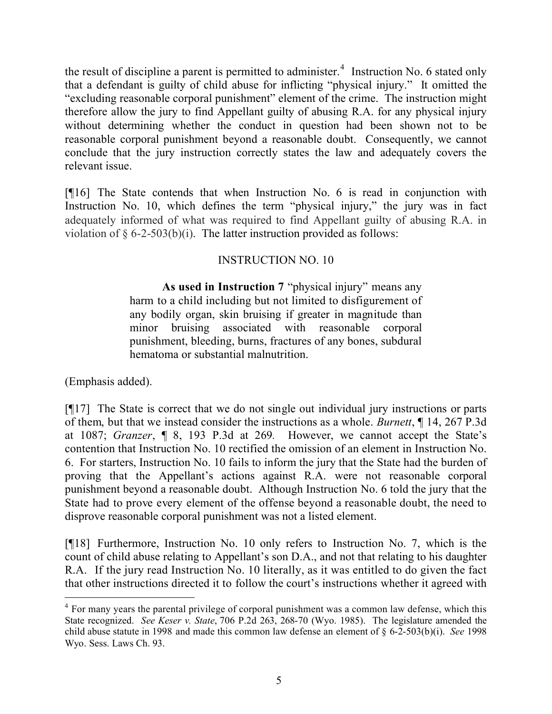the result of discipline a parent is permitted to administer.<sup>4</sup> Instruction No. 6 stated only that a defendant is guilty of child abuse for inflicting "physical injury." It omitted the "excluding reasonable corporal punishment" element of the crime. The instruction might therefore allow the jury to find Appellant guilty of abusing R.A. for any physical injury without determining whether the conduct in question had been shown not to be reasonable corporal punishment beyond a reasonable doubt. Consequently, we cannot conclude that the jury instruction correctly states the law and adequately covers the relevant issue.

[¶16] The State contends that when Instruction No. 6 is read in conjunction with Instruction No. 10, which defines the term "physical injury," the jury was in fact adequately informed of what was required to find Appellant guilty of abusing R.A. in violation of  $\S 6$ -2-503(b)(i). The latter instruction provided as follows:

## INSTRUCTION NO. 10

**As used in Instruction 7** "physical injury" means any harm to a child including but not limited to disfigurement of any bodily organ, skin bruising if greater in magnitude than minor bruising associated with reasonable corporal punishment, bleeding, burns, fractures of any bones, subdural hematoma or substantial malnutrition.

(Emphasis added).

 $\overline{a}$ 

[¶17] The State is correct that we do not single out individual jury instructions or parts of them, but that we instead consider the instructions as a whole. *Burnett*, ¶ 14, 267 P.3d at 1087; *Granzer*, ¶ 8, 193 P.3d at 269*.* However, we cannot accept the State's contention that Instruction No. 10 rectified the omission of an element in Instruction No. 6. For starters, Instruction No. 10 fails to inform the jury that the State had the burden of proving that the Appellant's actions against R.A. were not reasonable corporal punishment beyond a reasonable doubt. Although Instruction No. 6 told the jury that the State had to prove every element of the offense beyond a reasonable doubt, the need to disprove reasonable corporal punishment was not a listed element.

[¶18] Furthermore, Instruction No. 10 only refers to Instruction No. 7, which is the count of child abuse relating to Appellant's son D.A., and not that relating to his daughter R.A. If the jury read Instruction No. 10 literally, as it was entitled to do given the fact that other instructions directed it to follow the court's instructions whether it agreed with

<sup>&</sup>lt;sup>4</sup> For many years the parental privilege of corporal punishment was a common law defense, which this State recognized. *See Keser v. State*, 706 P.2d 263, 268-70 (Wyo. 1985). The legislature amended the child abuse statute in 1998 and made this common law defense an element of § 6-2-503(b)(i). *See* 1998 Wyo. Sess. Laws Ch. 93.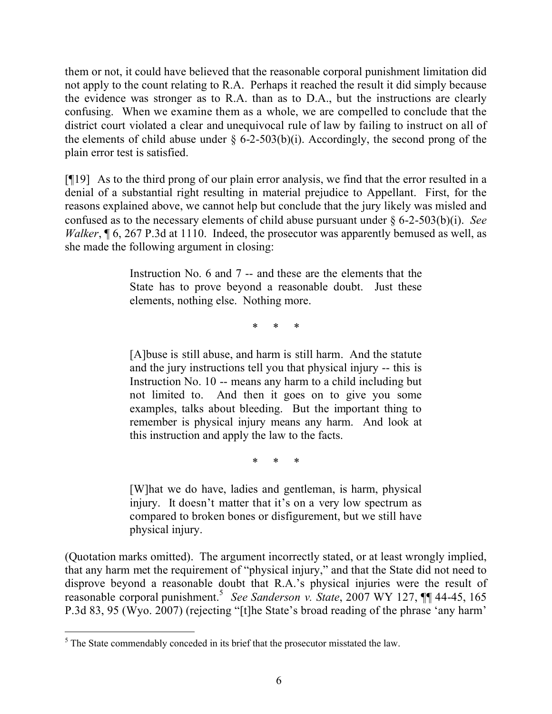them or not, it could have believed that the reasonable corporal punishment limitation did not apply to the count relating to R.A. Perhaps it reached the result it did simply because the evidence was stronger as to R.A. than as to D.A., but the instructions are clearly confusing. When we examine them as a whole, we are compelled to conclude that the district court violated a clear and unequivocal rule of law by failing to instruct on all of the elements of child abuse under  $\S$  6-2-503(b)(i). Accordingly, the second prong of the plain error test is satisfied.

[¶19] As to the third prong of our plain error analysis, we find that the error resulted in a denial of a substantial right resulting in material prejudice to Appellant. First, for the reasons explained above, we cannot help but conclude that the jury likely was misled and confused as to the necessary elements of child abuse pursuant under § 6-2-503(b)(i). *See Walker*, **[6, 267 P.3d at 1110. Indeed, the prosecutor was apparently bemused as well, as** she made the following argument in closing:

> Instruction No. 6 and 7 -- and these are the elements that the State has to prove beyond a reasonable doubt. Just these elements, nothing else. Nothing more.

> > \* \* \*

[A]buse is still abuse, and harm is still harm. And the statute and the jury instructions tell you that physical injury -- this is Instruction No. 10 -- means any harm to a child including but not limited to. And then it goes on to give you some examples, talks about bleeding. But the important thing to remember is physical injury means any harm. And look at this instruction and apply the law to the facts.

\* \* \*

[W]hat we do have, ladies and gentleman, is harm, physical injury. It doesn't matter that it's on a very low spectrum as compared to broken bones or disfigurement, but we still have physical injury.

(Quotation marks omitted). The argument incorrectly stated, or at least wrongly implied, that any harm met the requirement of "physical injury," and that the State did not need to disprove beyond a reasonable doubt that R.A.'s physical injuries were the result of reasonable corporal punishment.<sup>5</sup> *See Sanderson v. State*, 2007 WY 127, ¶¶ 44-45, 165 P.3d 83, 95 (Wyo. 2007) (rejecting "[t]he State's broad reading of the phrase 'any harm'

 $\overline{a}$  $<sup>5</sup>$  The State commendably conceded in its brief that the prosecutor misstated the law.</sup>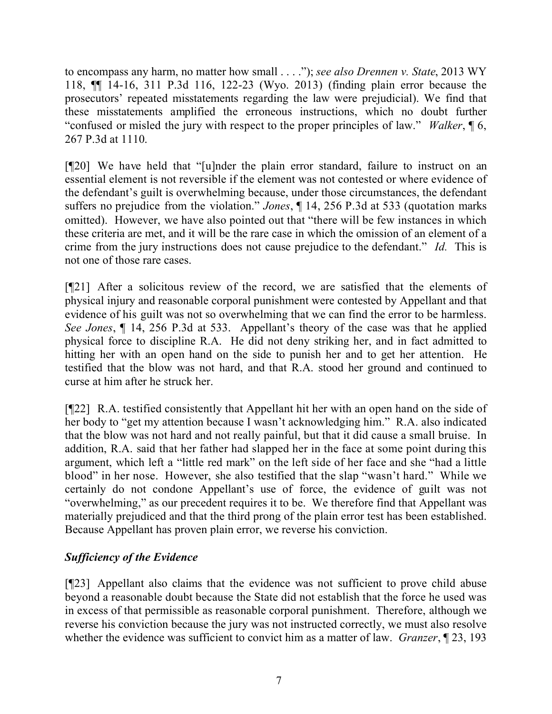to encompass any harm, no matter how small . . . ."); *see also Drennen v. State*, 2013 WY 118, ¶¶ 14-16, 311 P.3d 116, 122-23 (Wyo. 2013) (finding plain error because the prosecutors' repeated misstatements regarding the law were prejudicial). We find that these misstatements amplified the erroneous instructions, which no doubt further "confused or misled the jury with respect to the proper principles of law." *Walker*, ¶ 6, 267 P.3d at 1110.

[¶20] We have held that "[u]nder the plain error standard, failure to instruct on an essential element is not reversible if the element was not contested or where evidence of the defendant's guilt is overwhelming because, under those circumstances, the defendant suffers no prejudice from the violation." *Jones*, ¶ 14, 256 P.3d at 533 (quotation marks omitted). However, we have also pointed out that "there will be few instances in which these criteria are met, and it will be the rare case in which the omission of an element of a crime from the jury instructions does not cause prejudice to the defendant." *Id.* This is not one of those rare cases.

[¶21] After a solicitous review of the record, we are satisfied that the elements of physical injury and reasonable corporal punishment were contested by Appellant and that evidence of his guilt was not so overwhelming that we can find the error to be harmless. *See Jones*, ¶ 14, 256 P.3d at 533. Appellant's theory of the case was that he applied physical force to discipline R.A. He did not deny striking her, and in fact admitted to hitting her with an open hand on the side to punish her and to get her attention. He testified that the blow was not hard, and that R.A. stood her ground and continued to curse at him after he struck her.

[¶22] R.A. testified consistently that Appellant hit her with an open hand on the side of her body to "get my attention because I wasn't acknowledging him." R.A. also indicated that the blow was not hard and not really painful, but that it did cause a small bruise. In addition, R.A. said that her father had slapped her in the face at some point during this argument, which left a "little red mark" on the left side of her face and she "had a little blood" in her nose. However, she also testified that the slap "wasn't hard." While we certainly do not condone Appellant's use of force, the evidence of guilt was not "overwhelming," as our precedent requires it to be. We therefore find that Appellant was materially prejudiced and that the third prong of the plain error test has been established. Because Appellant has proven plain error, we reverse his conviction.

# *Sufficiency of the Evidence*

[¶23] Appellant also claims that the evidence was not sufficient to prove child abuse beyond a reasonable doubt because the State did not establish that the force he used was in excess of that permissible as reasonable corporal punishment. Therefore, although we reverse his conviction because the jury was not instructed correctly, we must also resolve whether the evidence was sufficient to convict him as a matter of law. *Granzer*, ¶ 23, 193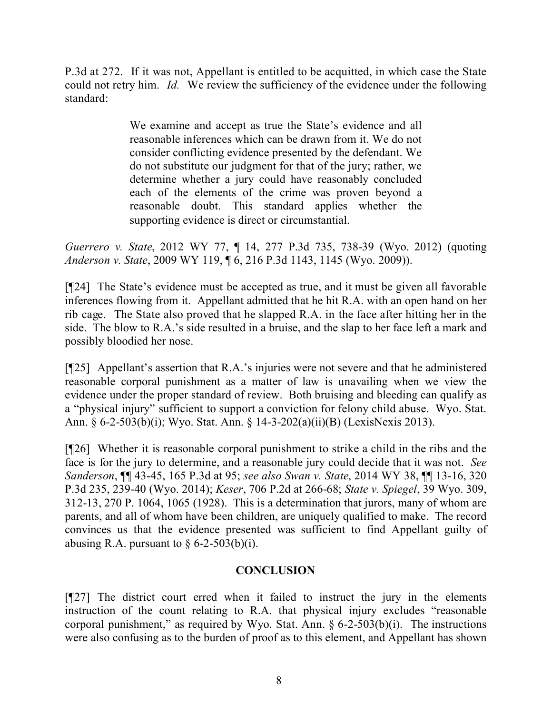P.3d at 272. If it was not, Appellant is entitled to be acquitted, in which case the State could not retry him. *Id.* We review the sufficiency of the evidence under the following standard:

> We examine and accept as true the State's evidence and all reasonable inferences which can be drawn from it. We do not consider conflicting evidence presented by the defendant. We do not substitute our judgment for that of the jury; rather, we determine whether a jury could have reasonably concluded each of the elements of the crime was proven beyond a reasonable doubt. This standard applies whether the supporting evidence is direct or circumstantial.

*Guerrero v. State*, 2012 WY 77, ¶ 14, 277 P.3d 735, 738-39 (Wyo. 2012) (quoting *Anderson v. State*, 2009 WY 119, ¶ 6, 216 P.3d 1143, 1145 (Wyo. 2009)).

[¶24] The State's evidence must be accepted as true, and it must be given all favorable inferences flowing from it. Appellant admitted that he hit R.A. with an open hand on her rib cage. The State also proved that he slapped R.A. in the face after hitting her in the side. The blow to R.A.'s side resulted in a bruise, and the slap to her face left a mark and possibly bloodied her nose.

[¶25] Appellant's assertion that R.A.'s injuries were not severe and that he administered reasonable corporal punishment as a matter of law is unavailing when we view the evidence under the proper standard of review. Both bruising and bleeding can qualify as a "physical injury" sufficient to support a conviction for felony child abuse. Wyo. Stat. Ann. § 6-2-503(b)(i); Wyo. Stat. Ann. § 14-3-202(a)(ii)(B) (LexisNexis 2013).

[¶26] Whether it is reasonable corporal punishment to strike a child in the ribs and the face is for the jury to determine, and a reasonable jury could decide that it was not. *See Sanderson*, ¶¶ 43-45, 165 P.3d at 95; *see also Swan v. State*, 2014 WY 38, ¶¶ 13-16, 320 P.3d 235, 239-40 (Wyo. 2014); *Keser*, 706 P.2d at 266-68; *State v. Spiegel*, 39 Wyo. 309, 312-13, 270 P. 1064, 1065 (1928). This is a determination that jurors, many of whom are parents, and all of whom have been children, are uniquely qualified to make. The record convinces us that the evidence presented was sufficient to find Appellant guilty of abusing R.A. pursuant to  $\S 6$ -2-503(b)(i).

## **CONCLUSION**

[¶27] The district court erred when it failed to instruct the jury in the elements instruction of the count relating to R.A. that physical injury excludes "reasonable corporal punishment," as required by Wyo. Stat. Ann.  $\S$  6-2-503(b)(i). The instructions were also confusing as to the burden of proof as to this element, and Appellant has shown